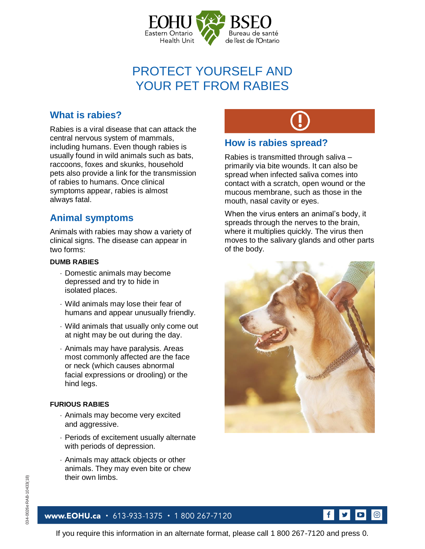

# PROTECT YOURSELF AND YOUR PET FROM RABIES

## **What is rabies?**

Rabies is a viral disease that can attack the central nervous system of mammals, including humans. Even though rabies is usually found in wild animals such as bats, raccoons, foxes and skunks, household pets also provide a link for the transmission of rabies to humans. Once clinical symptoms appear, rabies is almost always fatal.

## **Animal symptoms**

Animals with rabies may show a variety of clinical signs. The disease can appear in two forms:

#### **DUMB RABIES**

- Domestic animals may become depressed and try to hide in isolated places.
- Wild animals may lose their fear of humans and appear unusually friendly.
- Wild animals that usually only come out at night may be out during the day.
- Animals may have paralysis. Areas most commonly affected are the face or neck (which causes abnormal facial expressions or drooling) or the hind legs.

#### **FURIOUS RABIES**

- Animals may become very excited and aggressive.
- Periods of excitement usually alternate with periods of depression.
- Animals may attack objects or other animals. They may even bite or chew their own limbs.

www.EOHU.ca · 613-933-1375 · 1 800 267-7120

#### **How is rabies spread?**

Rabies is transmitted through saliva – primarily via bite wounds. It can also be spread when infected saliva comes into contact with a scratch, open wound or the mucous membrane, such as those in the mouth, nasal cavity or eyes.

When the virus enters an animal's body, it spreads through the nerves to the brain, where it multiplies quickly. The virus then moves to the salivary glands and other parts of the body.



#### $f$ ම

If you require this information in an alternate format, please call 1 800 267-7120 and press 0.